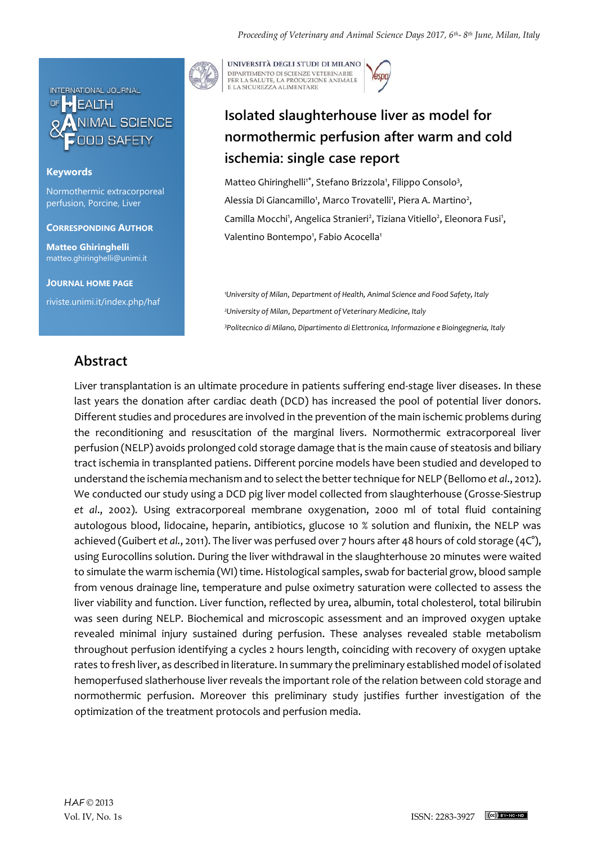

### **Keywords**

Normothermic extracorporeal perfusion, Porcine, Liver

**CORRESPONDING AUTHOR**

**Matteo Ghiringhelli** matteo.ghiringhelli@unimi.it

**JOURNAL HOME PAGE**

riviste.unimi.it/index.php/haf

UNIVERSITÀ DEGLI STUDI DI MILANO DIPARTIMENTO DI SCIENZE VETERINARIE PER LA SALUTE, LA PRODUZIONE ANIMALE<br>E LA SICUREZZA ALIMENTARE

# **Isolated slaughterhouse liver as model for normothermic perfusion after warm and cold ischemia: single case report**

Matteo Ghiringhelli<sup>1\*</sup>, Stefano Brizzola<sup>1</sup>, Filippo Consolo<sup>3</sup>, Alessia Di Giancamillo<sup>1</sup>, Marco Trovatelli<sup>1</sup>, Piera A. Martino<sup>2</sup>, Camilla Mocchi<sup>1</sup>, Angelica Stranieri<sup>2</sup>, Tiziana Vitiello<sup>2</sup>, Eleonora Fusi<sup>1</sup>, Valentino Bontempo<sup>1</sup>, Fabio Acocella<sup>1</sup>

*<sup>1</sup>University of Milan*, *Department of Health, Animal Science and Food Safety, Italy <sup>2</sup>University of Milan*, *Department of Veterinary Medicine, Italy <sup>3</sup>Politecnico di Milano, Dipartimento di Elettronica, Informazione e Bioingegneria, Italy*

## **Abstract**

Liver transplantation is an ultimate procedure in patients suffering end-stage liver diseases. In these last years the donation after cardiac death (DCD) has increased the pool of potential liver donors. Different studies and procedures are involved in the prevention of the main ischemic problems during the reconditioning and resuscitation of the marginal livers. Normothermic extracorporeal liver perfusion (NELP) avoids prolonged cold storage damage that is the main cause of steatosis and biliary tract ischemia in transplanted patiens. Different porcine models have been studied and developed to understand the ischemia mechanism and to select the better technique for NELP (Bellomo *et al*., 2012). We conducted our study using a DCD pig liver model collected from slaughterhouse (Grosse-Siestrup *et al*., 2002). Using extracorporeal membrane oxygenation, 2000 ml of total fluid containing autologous blood, lidocaine, heparin, antibiotics, glucose 10 % solution and flunixin, the NELP was achieved (Guibert *et al.*, 2011). The liver was perfused over 7 hours after 48 hours of cold storage (4C°), using Eurocollins solution. During the liver withdrawal in the slaughterhouse 20 minutes were waited to simulate the warm ischemia (WI) time. Histological samples, swab for bacterial grow, blood sample from venous drainage line, temperature and pulse oximetry saturation were collected to assess the liver viability and function. Liver function, reflected by urea, albumin, total cholesterol, total bilirubin was seen during NELP. Biochemical and microscopic assessment and an improved oxygen uptake revealed minimal injury sustained during perfusion. These analyses revealed stable metabolism throughout perfusion identifying a cycles 2 hours length, coinciding with recovery of oxygen uptake rates to fresh liver, as described in literature. In summary the preliminary established model of isolated hemoperfused slatherhouse liver reveals the important role of the relation between cold storage and normothermic perfusion. Moreover this preliminary study justifies further investigation of the optimization of the treatment protocols and perfusion media.